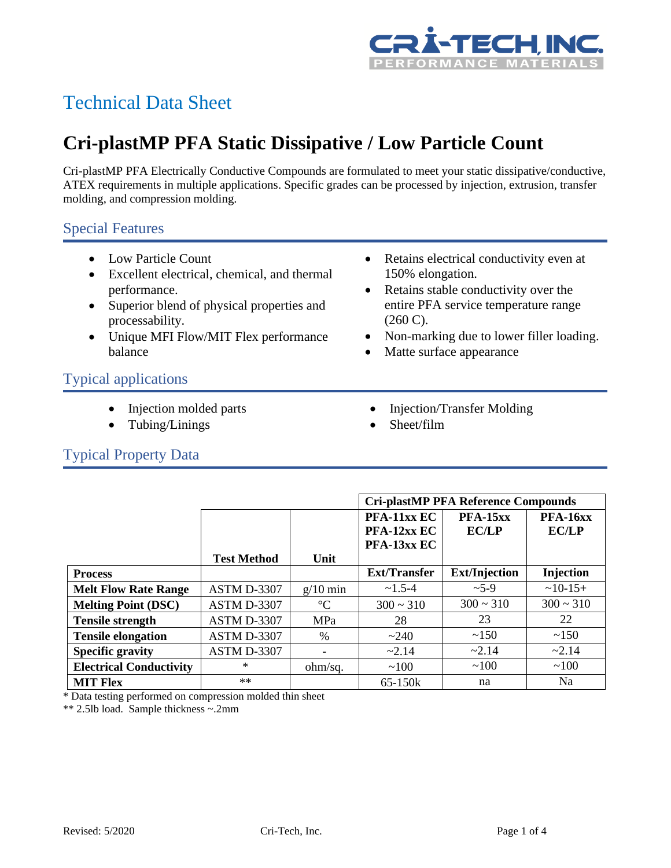

# Technical Data Sheet

# **Cri-plastMP PFA Static Dissipative / Low Particle Count**

Cri-plastMP PFA Electrically Conductive Compounds are formulated to meet your static dissipative/conductive, ATEX requirements in multiple applications. Specific grades can be processed by injection, extrusion, transfer molding, and compression molding.

### Special Features

- Low Particle Count
- Excellent electrical, chemical, and thermal performance.
- Superior blend of physical properties and processability.
- Unique MFI Flow/MIT Flex performance balance
- Retains electrical conductivity even at 150% elongation.
- Retains stable conductivity over the entire PFA service temperature range (260 C).
- Non-marking due to lower filler loading.
- Matte surface appearance

## Typical applications

- Injection molded parts
- Tubing/Linings
- Injection/Transfer Molding
- Sheet/film

### Typical Property Data

|                                |                    |                 | <b>Cri-plastMP PFA Reference Compounds</b> |                            |                                 |
|--------------------------------|--------------------|-----------------|--------------------------------------------|----------------------------|---------------------------------|
|                                | <b>Test Method</b> | Unit            | PFA-11xx EC<br>PFA-12xx EC<br>PFA-13xx EC  | $PFA-15xx$<br><b>EC/LP</b> | <b>PFA-16xx</b><br><b>EC/LP</b> |
| <b>Process</b>                 |                    |                 | <b>Ext/Transfer</b>                        | <b>Ext/Injection</b>       | Injection                       |
| <b>Melt Flow Rate Range</b>    | ASTM D-3307        | $g/10$ min      | $\sim 1.5 - 4$                             | $~25-9$                    | $~10-15+$                       |
| <b>Melting Point (DSC)</b>     | ASTM D-3307        | $\rm ^{\circ}C$ | $300 \sim 310$                             | $300 \sim 310$             | $300 \approx 310$               |
| <b>Tensile strength</b>        | ASTM D-3307        | MPa             | 28                                         | 23                         | 22                              |
| <b>Tensile elongation</b>      | ASTM D-3307        | $\frac{0}{0}$   | ~240                                       | ~150                       | ~150                            |
| <b>Specific gravity</b>        | ASTM D-3307        |                 | ~2.14                                      | $-2.14$                    | $-2.14$                         |
| <b>Electrical Conductivity</b> | $\ast$             | ohm/sq.         | ~100                                       | ~100                       | ~100                            |
| <b>MIT Flex</b>                | $**$               |                 | $65-150k$                                  | na                         | Na                              |

\* Data testing performed on compression molded thin sheet

\*\* 2.5lb load. Sample thickness ~.2mm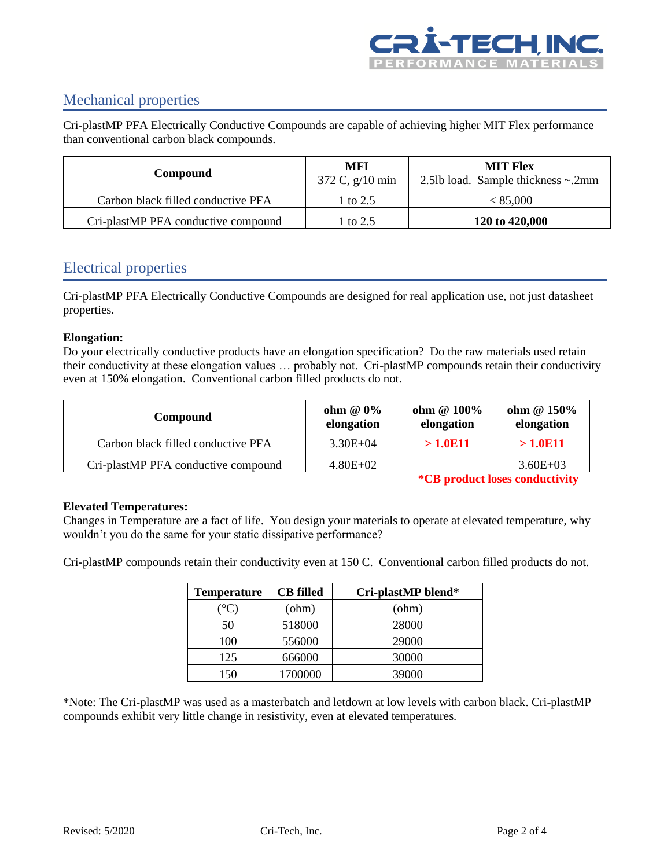

## Mechanical properties

Cri-plastMP PFA Electrically Conductive Compounds are capable of achieving higher MIT Flex performance than conventional carbon black compounds.

| Compound                            | MFI<br>372 C, $g/10$ min | <b>MIT Flex</b><br>2.5lb load. Sample thickness $\sim$ .2mm |  |
|-------------------------------------|--------------------------|-------------------------------------------------------------|--|
| Carbon black filled conductive PFA  | 1 to 2.5                 | < 85,000                                                    |  |
| Cri-plastMP PFA conductive compound | 1 to 2.5                 | 120 to 420,000                                              |  |

### Electrical properties

Cri-plastMP PFA Electrically Conductive Compounds are designed for real application use, not just datasheet properties.

### **Elongation:**

Do your electrically conductive products have an elongation specification? Do the raw materials used retain their conductivity at these elongation values … probably not. Cri-plastMP compounds retain their conductivity even at 150% elongation. Conventional carbon filled products do not.

| Compound                            | ohm $@0\%$<br>elongation | ohm @ 100%<br>elongation | ohm @ 150%<br>elongation |
|-------------------------------------|--------------------------|--------------------------|--------------------------|
| Carbon black filled conductive PFA  | $3.30E + 04$             | >1.0E11                  | >1.0E11                  |
| Cri-plastMP PFA conductive compound | $4.80E + 02$             |                          | $3.60E + 03$             |

**\*CB product loses conductivity**

#### **Elevated Temperatures:**

Changes in Temperature are a fact of life. You design your materials to operate at elevated temperature, why wouldn't you do the same for your static dissipative performance?

Cri-plastMP compounds retain their conductivity even at 150 C. Conventional carbon filled products do not.

| <b>Temperature</b> | <b>CB</b> filled | Cri-plastMP blend* |
|--------------------|------------------|--------------------|
|                    | (ohm)            | (ohm)              |
| 50                 | 518000           | 28000              |
| 100                | 556000           | 29000              |
| 125                | 666000           | 30000              |
| 150                | 1700000          | 39000              |

\*Note: The Cri-plastMP was used as a masterbatch and letdown at low levels with carbon black. Cri-plastMP compounds exhibit very little change in resistivity, even at elevated temperatures.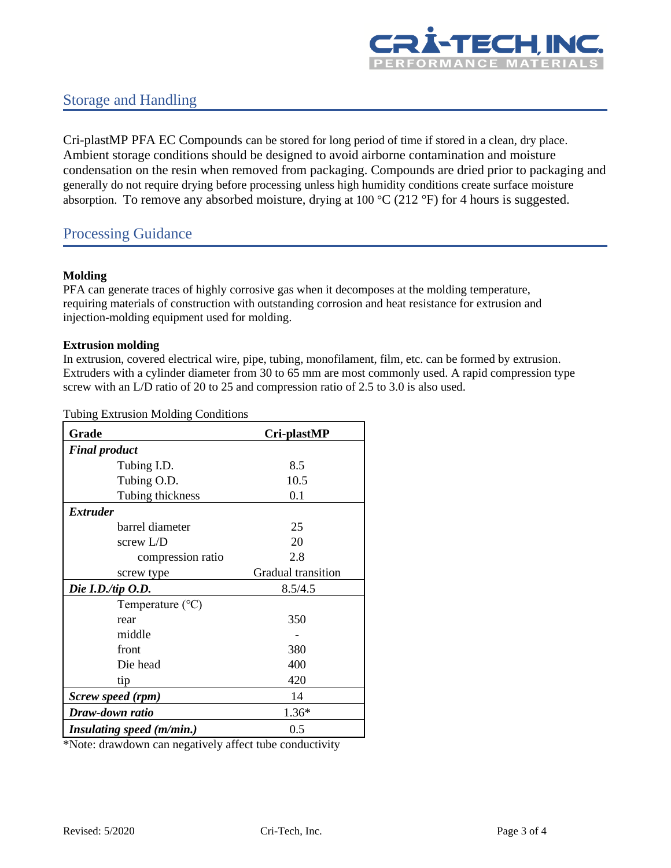

### Storage and Handling

Cri-plastMP PFA EC Compounds can be stored for long period of time if stored in a clean, dry place. Ambient storage conditions should be designed to avoid airborne contamination and moisture condensation on the resin when removed from packaging. Compounds are dried prior to packaging and generally do not require drying before processing unless high humidity conditions create surface moisture absorption. To remove any absorbed moisture, drying at 100 °C (212 °F) for 4 hours is suggested.

### Processing Guidance

#### **Molding**

PFA can generate traces of highly corrosive gas when it decomposes at the molding temperature, requiring materials of construction with outstanding corrosion and heat resistance for extrusion and injection-molding equipment used for molding.

#### **Extrusion molding**

In extrusion, covered electrical wire, pipe, tubing, monofilament, film, etc. can be formed by extrusion. Extruders with a cylinder diameter from 30 to 65 mm are most commonly used. A rapid compression type screw with an L/D ratio of 20 to 25 and compression ratio of 2.5 to 3.0 is also used.

Tubing Extrusion Molding Conditions

| Grade                     | Cri-plastMP        |
|---------------------------|--------------------|
| <b>Final product</b>      |                    |
| Tubing I.D.               | 8.5                |
| Tubing O.D.               | 10.5               |
| Tubing thickness          | 0.1                |
| <i>Extruder</i>           |                    |
| barrel diameter           | 25                 |
| screw $L/D$               | 20                 |
| compression ratio         | 2.8                |
| screw type                | Gradual transition |
| Die I.D./tip $O.D.$       | 8.5/4.5            |
| Temperature $(^{\circ}C)$ |                    |
| rear                      | 350                |
| middle                    |                    |
| front                     | 380                |
| Die head                  | 400                |
| tip                       | 420                |
| Screw speed (rpm)         | 14                 |
| Draw-down ratio           | $1.36*$            |
| Insulating speed (m/min.) | 0.5                |

\*Note: drawdown can negatively affect tube conductivity